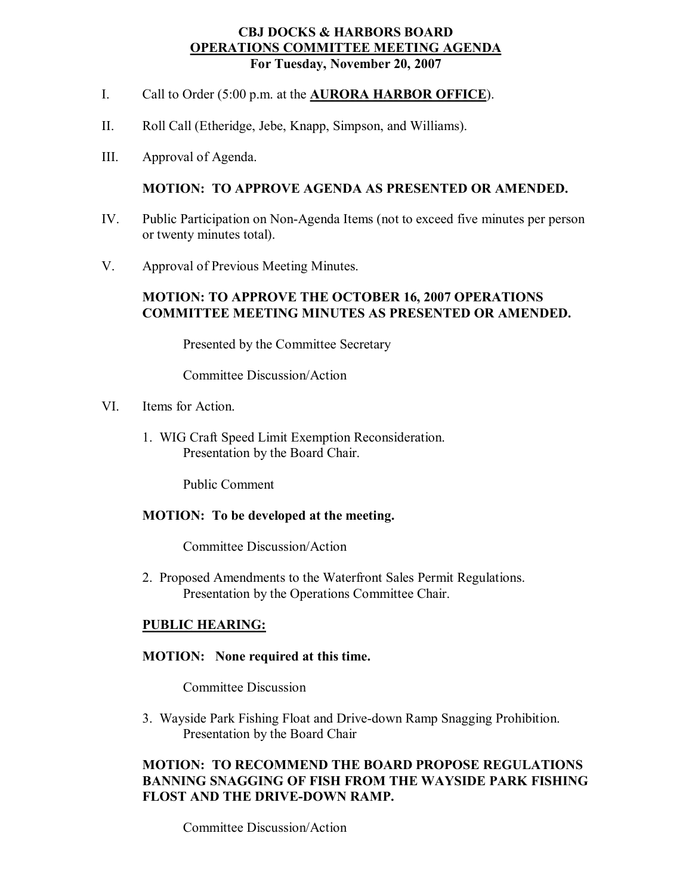### **CBJ DOCKS & HARBORS BOARD OPERATIONS COMMITTEE MEETING AGENDA For Tuesday, November 20, 2007**

- I. Call to Order (5:00 p.m. at the **AURORA HARBOR OFFICE**).
- II. Roll Call (Etheridge, Jebe, Knapp, Simpson, and Williams).
- III. Approval of Agenda.

### **MOTION: TO APPROVE AGENDA AS PRESENTED OR AMENDED.**

- IV. Public Participation on Non-Agenda Items (not to exceed five minutes per person or twenty minutes total).
- V. Approval of Previous Meeting Minutes.

## **MOTION: TO APPROVE THE OCTOBER 16, 2007 OPERATIONS COMMITTEE MEETING MINUTES AS PRESENTED OR AMENDED.**

Presented by the Committee Secretary

Committee Discussion/Action

- VI. Items for Action.
	- 1. WIG Craft Speed Limit Exemption Reconsideration. Presentation by the Board Chair.

Public Comment

#### **MOTION: To be developed at the meeting.**

Committee Discussion/Action

2. Proposed Amendments to the Waterfront Sales Permit Regulations. Presentation by the Operations Committee Chair.

## **PUBLIC HEARING:**

#### **MOTION: None required at this time.**

Committee Discussion

3. Wayside Park Fishing Float and Drive-down Ramp Snagging Prohibition. Presentation by the Board Chair

## **MOTION: TO RECOMMEND THE BOARD PROPOSE REGULATIONS BANNING SNAGGING OF FISH FROM THE WAYSIDE PARK FISHING FLOST AND THE DRIVE-DOWN RAMP.**

Committee Discussion/Action